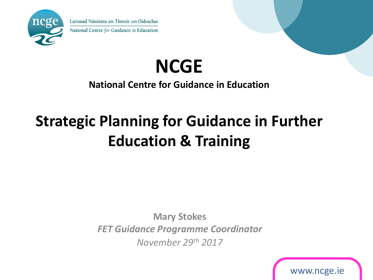

Lárionad Náisiúnta um Threoir san Oideachas National Centre for Guidance in Education

# **NCGE**

## **National Centre for Guidance in Education**

# **Strategic Planning for Guidance in Further Education & Training**

**Mary Stokes** *FET Guidance Programme Coordinator November 29th 2017*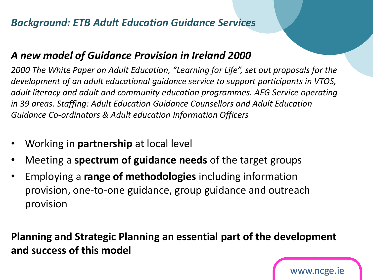## *Background: ETB Adult Education Guidance Services*

### *A new model of Guidance Provision in Ireland 2000*

*2000 The White Paper on Adult Education, "Learning for Life", set out proposals for the development of an adult educational guidance service to support participants in VTOS, adult literacy and adult and community education programmes. AEG Service operating in 39 areas. Staffing: Adult Education Guidance Counsellors and Adult Education Guidance Co-ordinators & Adult education Information Officers*

- Working in **partnership** at local level
- Meeting a **spectrum of guidance needs** of the target groups
- Employing a **range of methodologies** including information provision, one-to-one guidance, group guidance and outreach provision

**Planning and Strategic Planning an essential part of the development and success of this model**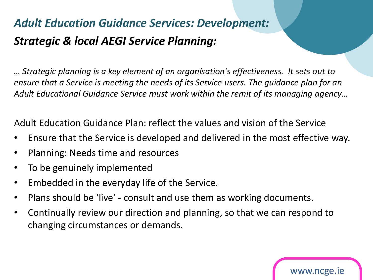# *Adult Education Guidance Services: Development: Strategic & local AEGI Service Planning:*

*… Strategic planning is a key element of an organisation's effectiveness. It sets out to ensure that a Service is meeting the needs of its Service users. The guidance plan for an*  Adult Educational Guidance Service must work within the remit of its managing agency...

Adult Education Guidance Plan: reflect the values and vision of the Service

- Ensure that the Service is developed and delivered in the most effective way.
- Planning: Needs time and resources
- To be genuinely implemented
- Embedded in the everyday life of the Service.
- Plans should be 'live' consult and use them as working documents.
- Continually review our direction and planning, so that we can respond to changing circumstances or demands.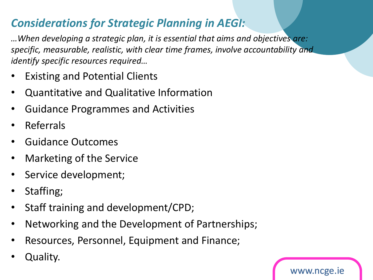# *Considerations for Strategic Planning in AEGI:*

*…When developing a strategic plan, it is essential that aims and objectives are: specific, measurable, realistic, with clear time frames, involve accountability and identify specific resources required…*

- **Existing and Potential Clients**
- Quantitative and Qualitative Information
- Guidance Programmes and Activities
- Referrals
- Guidance Outcomes
- Marketing of the Service
- Service development;
- Staffing;
- Staff training and development/CPD;
- Networking and the Development of Partnerships;

- Resources, Personnel, Equipment and Finance;
- Quality.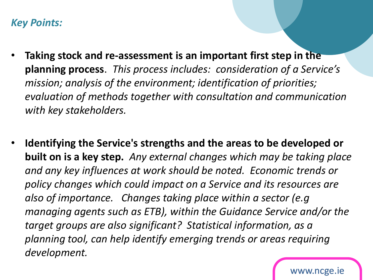#### *Key Points:*

- **Taking stock and re-assessment is an important first step in the planning process**. *This process includes: consideration of a Service's mission; analysis of the environment; identification of priorities; evaluation of methods together with consultation and communication with key stakeholders.*
- **Identifying the Service's strengths and the areas to be developed or built on is a key step.** *Any external changes which may be taking place and any key influences at work should be noted. Economic trends or policy changes which could impact on a Service and its resources are also of importance. Changes taking place within a sector (e.g managing agents such as ETB), within the Guidance Service and/or the target groups are also significant? Statistical information, as a planning tool, can help identify emerging trends or areas requiring development.*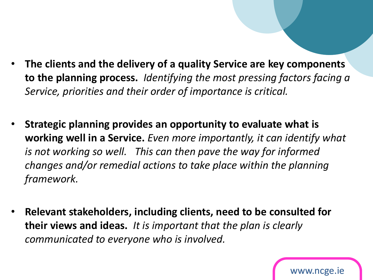- **The clients and the delivery of a quality Service are key components to the planning process.** *Identifying the most pressing factors facing a Service, priorities and their order of importance is critical.*
- **Strategic planning provides an opportunity to evaluate what is working well in a Service.** *Even more importantly, it can identify what is not working so well. This can then pave the way for informed changes and/or remedial actions to take place within the planning framework.*
- **Relevant stakeholders, including clients, need to be consulted for their views and ideas.** *It is important that the plan is clearly communicated to everyone who is involved.*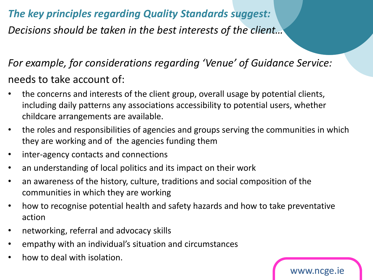# *The key principles regarding Quality Standards suggest: Decisions should be taken in the best interests of the client…*

*For example, for considerations regarding 'Venue' of Guidance Service:*  needs to take account of:

- the concerns and interests of the client group, overall usage by potential clients, including daily patterns any associations accessibility to potential users, whether childcare arrangements are available.
- the roles and responsibilities of agencies and groups serving the communities in which they are working and of the agencies funding them
- inter-agency contacts and connections
- an understanding of local politics and its impact on their work
- an awareness of the history, culture, traditions and social composition of the communities in which they are working
- how to recognise potential health and safety hazards and how to take preventative action

- networking, referral and advocacy skills
- empathy with an individual's situation and circumstances
- how to deal with isolation.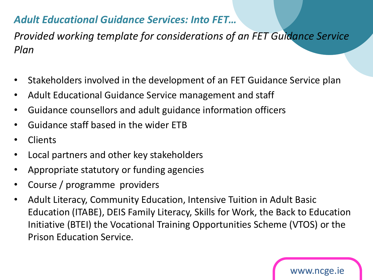# *Adult Educational Guidance Services: Into FET…*

*Provided working template for considerations of an FET Guidance Service Plan*

- Stakeholders involved in the development of an FET Guidance Service plan
- Adult Educational Guidance Service management and staff
- Guidance counsellors and adult guidance information officers
- Guidance staff based in the wider ETB
- **Clients**
- Local partners and other key stakeholders
- Appropriate statutory or funding agencies
- Course / programme providers
- Adult Literacy, Community Education, Intensive Tuition in Adult Basic Education (ITABE), DEIS Family Literacy, Skills for Work, the Back to Education Initiative (BTEI) the Vocational Training Opportunities Scheme (VTOS) or the Prison Education Service.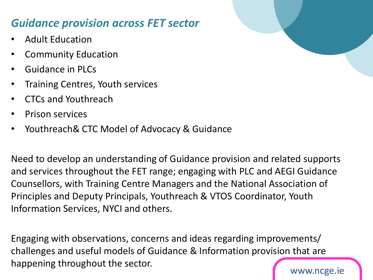# *Guidance provision across FET sector*

- Adult Education
- Community Education
- Guidance in PLCs
- Training Centres, Youth services
- CTCs and Youthreach
- Prison services
- Youthreach& CTC Model of Advocacy & Guidance

Need to develop an understanding of Guidance provision and related supports and services throughout the FET range; engaging with PLC and AEGI Guidance Counsellors, with Training Centre Managers and the National Association of Principles and Deputy Principals, Youthreach & VTOS Coordinator, Youth Information Services, NYCI and others.

www.ncge.ie Engaging with observations, concerns and ideas regarding improvements/ challenges and useful models of Guidance & Information provision that are happening throughout the sector.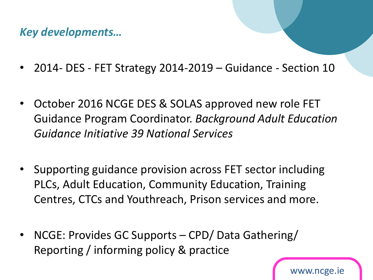*Key developments…*

- 2014- DES FET Strategy 2014-2019 Guidance Section 10
- October 2016 NCGE DES & SOLAS approved new role FET Guidance Program Coordinator. *Background Adult Education Guidance Initiative 39 National Services*
- Supporting guidance provision across FET sector including PLCs, Adult Education, Community Education, Training Centres, CTCs and Youthreach, Prison services and more.
- NCGE: Provides GC Supports CPD/ Data Gathering/ Reporting / informing policy & practice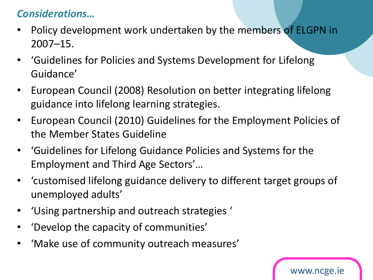# *Considerations…*

- Policy development work undertaken by the members of ELGPN in 2007–15.
- 'Guidelines for Policies and Systems Development for Lifelong Guidance'
- European Council (2008) Resolution on better integrating lifelong guidance into lifelong learning strategies.
- European Council (2010) Guidelines for the Employment Policies of the Member States Guideline
- 'Guidelines for Lifelong Guidance Policies and Systems for the Employment and Third Age Sectors'…
- 'customised lifelong guidance delivery to different target groups of unemployed adults'

- 'Using partnership and outreach strategies '
- 'Develop the capacity of communities'
- 'Make use of community outreach measures'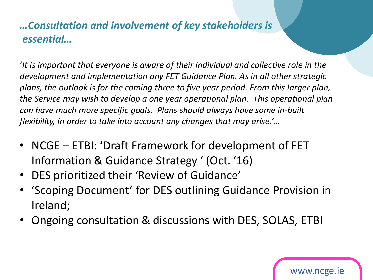# *…Consultation and involvement of key stakeholders is essential…*

'*It is important that everyone is aware of their individual and collective role in the development and implementation any FET Guidance Plan. As in all other strategic plans, the outlook is for the coming three to five year period. From this larger plan, the Service may wish to develop a one year operational plan. This operational plan can have much more specific goals. Plans should always have some in-built flexibility, in order to take into account any changes that may arise.'…*

- NCGE ETBI: 'Draft Framework for development of FET Information & Guidance Strategy ' (Oct. '16)
- DES prioritized their 'Review of Guidance'
- 'Scoping Document' for DES outlining Guidance Provision in Ireland;
- Ongoing consultation & discussions with DES, SOLAS, ETBI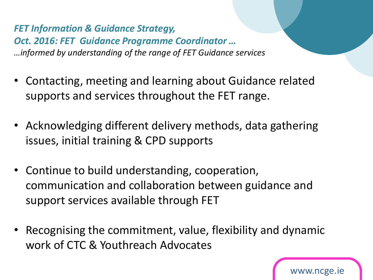*FET Information & Guidance Strategy, Oct. 2016: FET Guidance Programme Coordinator … …informed by understanding of the range of FET Guidance services*

- Contacting, meeting and learning about Guidance related supports and services throughout the FET range.
- Acknowledging different delivery methods, data gathering issues, initial training & CPD supports
- Continue to build understanding, cooperation, communication and collaboration between guidance and support services available through FET
- Recognising the commitment, value, flexibility and dynamic work of CTC & Youthreach Advocates

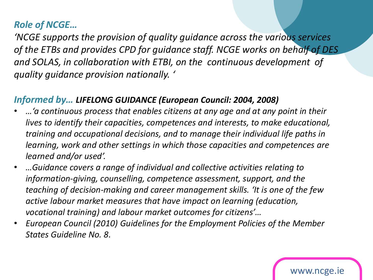#### *Role of NCGE…*

*'NCGE supports the provision of quality guidance across the various services of the ETBs and provides CPD for guidance staff. NCGE works on behalf of DES and SOLAS, in collaboration with ETBI, on the continuous development of quality guidance provision nationally. '* 

#### *Informed by… LIFELONG GUIDANCE (European Council: 2004, 2008)*

- *…'a continuous process that enables citizens at any age and at any point in their lives to identify their capacities, competences and interests, to make educational, training and occupational decisions, and to manage their individual life paths in learning, work and other settings in which those capacities and competences are learned and/or used'.*
- *…Guidance covers a range of individual and collective activities relating to information-giving, counselling, competence assessment, support, and the teaching of decision-making and career management skills. 'It is one of the few active labour market measures that have impact on learning (education, vocational training) and labour market outcomes for citizens'…*
- *European Council (2010) Guidelines for the Employment Policies of the Member States Guideline No. 8.*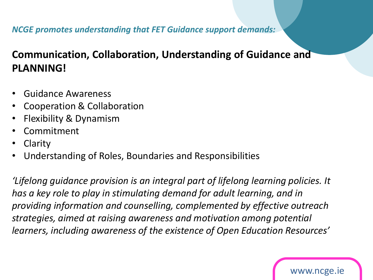#### *NCGE promotes understanding that FET Guidance support demands:*

# **Communication, Collaboration, Understanding of Guidance and PLANNING!**

- Guidance Awareness
- Cooperation & Collaboration
- Flexibility & Dynamism
- **Commitment**
- **Clarity**
- Understanding of Roles, Boundaries and Responsibilities

*'Lifelong guidance provision is an integral part of lifelong learning policies. It has a key role to play in stimulating demand for adult learning, and in providing information and counselling, complemented by effective outreach strategies, aimed at raising awareness and motivation among potential learners, including awareness of the existence of Open Education Resources'*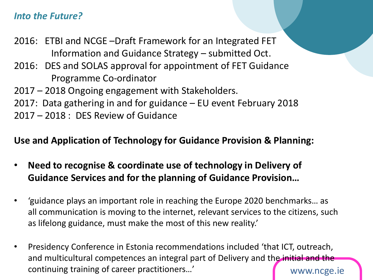#### *Into the Future?*

2016: ETBI and NCGE –Draft Framework for an Integrated FET Information and Guidance Strategy – submitted Oct. 2016: DES and SOLAS approval for appointment of FET Guidance Programme Co-ordinator 2017 – 2018 Ongoing engagement with Stakeholders. 2017: Data gathering in and for guidance – EU event February 2018 2017 – 2018 : DES Review of Guidance

#### **Use and Application of Technology for Guidance Provision & Planning:**

- **Need to recognise & coordinate use of technology in Delivery of Guidance Services and for the planning of Guidance Provision…**
- 'guidance plays an important role in reaching the Europe 2020 benchmarks… as all communication is moving to the internet, relevant services to the citizens, such as lifelong guidance, must make the most of this new reality.'
- www.ncge.ie • Presidency Conference in Estonia recommendations included 'that ICT, outreach, and multicultural competences an integral part of Delivery and the initial and the continuing training of career practitioners…'